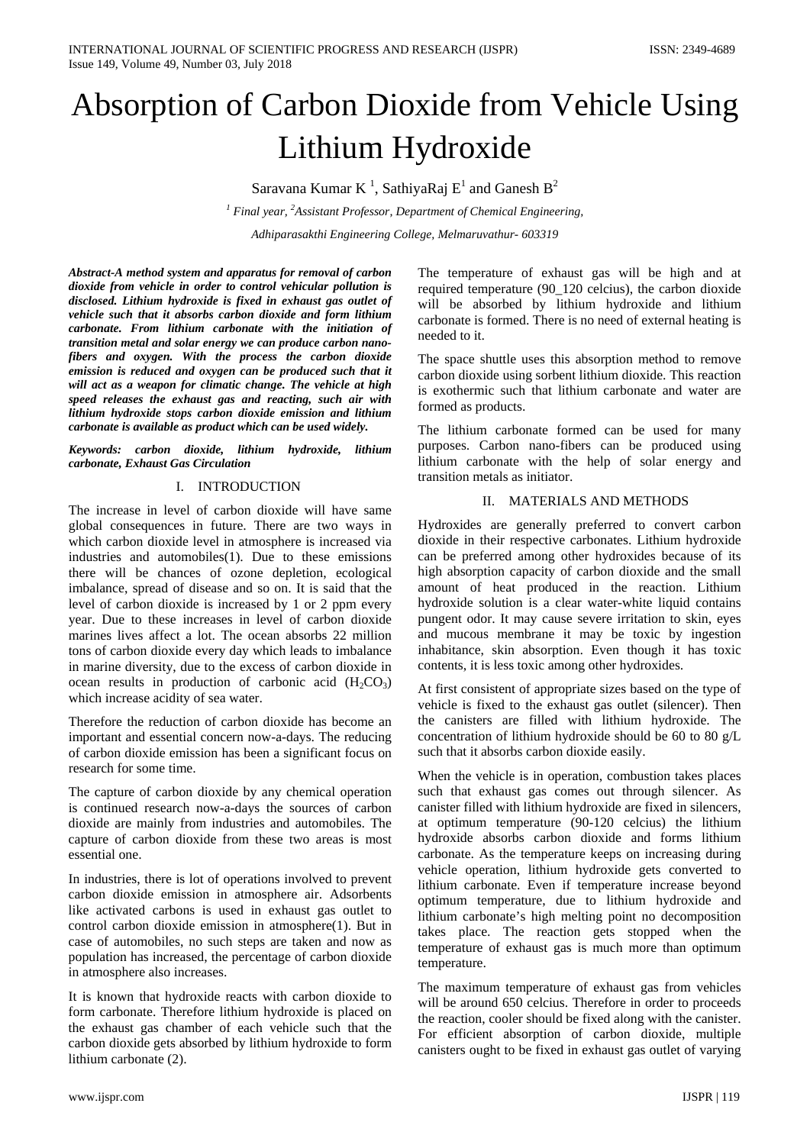# Absorption of Carbon Dioxide from Vehicle Using Lithium Hydroxide

Saravana Kumar K $^1$ , SathiyaRaj  $E^1$  and Ganesh B $^2$ 

*<sup>1</sup> Final year, <sup>2</sup> Assistant Professor, Department of Chemical Engineering, Adhiparasakthi Engineering College, Melmaruvathur- 603319*

*Abstract-A method system and apparatus for removal of carbon dioxide from vehicle in order to control vehicular pollution is disclosed. Lithium hydroxide is fixed in exhaust gas outlet of vehicle such that it absorbs carbon dioxide and form lithium carbonate. From lithium carbonate with the initiation of transition metal and solar energy we can produce carbon nanofibers and oxygen. With the process the carbon dioxide emission is reduced and oxygen can be produced such that it will act as a weapon for climatic change. The vehicle at high speed releases the exhaust gas and reacting, such air with lithium hydroxide stops carbon dioxide emission and lithium carbonate is available as product which can be used widely.*

*Keywords: carbon dioxide, lithium hydroxide, lithium carbonate, Exhaust Gas Circulation*

## I. INTRODUCTION

The increase in level of carbon dioxide will have same global consequences in future. There are two ways in which carbon dioxide level in atmosphere is increased via industries and automobiles(1). Due to these emissions there will be chances of ozone depletion, ecological imbalance, spread of disease and so on. It is said that the level of carbon dioxide is increased by 1 or 2 ppm every year. Due to these increases in level of carbon dioxide marines lives affect a lot. The ocean absorbs 22 million tons of carbon dioxide every day which leads to imbalance in marine diversity, due to the excess of carbon dioxide in ocean results in production of carbonic acid  $(H_2CO_3)$ which increase acidity of sea water.

Therefore the reduction of carbon dioxide has become an important and essential concern now-a-days. The reducing of carbon dioxide emission has been a significant focus on research for some time.

The capture of carbon dioxide by any chemical operation is continued research now-a-days the sources of carbon dioxide are mainly from industries and automobiles. The capture of carbon dioxide from these two areas is most essential one.

In industries, there is lot of operations involved to prevent carbon dioxide emission in atmosphere air. Adsorbents like activated carbons is used in exhaust gas outlet to control carbon dioxide emission in atmosphere(1). But in case of automobiles, no such steps are taken and now as population has increased, the percentage of carbon dioxide in atmosphere also increases.

It is known that hydroxide reacts with carbon dioxide to form carbonate. Therefore lithium hydroxide is placed on the exhaust gas chamber of each vehicle such that the carbon dioxide gets absorbed by lithium hydroxide to form lithium carbonate (2).

The temperature of exhaust gas will be high and at required temperature (90\_120 celcius), the carbon dioxide will be absorbed by lithium hydroxide and lithium carbonate is formed. There is no need of external heating is needed to it.

The space shuttle uses this absorption method to remove carbon dioxide using sorbent lithium dioxide. This reaction is exothermic such that lithium carbonate and water are formed as products.

The lithium carbonate formed can be used for many purposes. Carbon nano-fibers can be produced using lithium carbonate with the help of solar energy and transition metals as initiator.

### II. MATERIALS AND METHODS

Hydroxides are generally preferred to convert carbon dioxide in their respective carbonates. Lithium hydroxide can be preferred among other hydroxides because of its high absorption capacity of carbon dioxide and the small amount of heat produced in the reaction. Lithium hydroxide solution is a clear water-white liquid contains pungent odor. It may cause severe irritation to skin, eyes and mucous membrane it may be toxic by ingestion inhabitance, skin absorption. Even though it has toxic contents, it is less toxic among other hydroxides.

At first consistent of appropriate sizes based on the type of vehicle is fixed to the exhaust gas outlet (silencer). Then the canisters are filled with lithium hydroxide. The concentration of lithium hydroxide should be 60 to 80 g/L such that it absorbs carbon dioxide easily.

When the vehicle is in operation, combustion takes places such that exhaust gas comes out through silencer. As canister filled with lithium hydroxide are fixed in silencers, at optimum temperature (90-120 celcius) the lithium hydroxide absorbs carbon dioxide and forms lithium carbonate. As the temperature keeps on increasing during vehicle operation, lithium hydroxide gets converted to lithium carbonate. Even if temperature increase beyond optimum temperature, due to lithium hydroxide and lithium carbonate's high melting point no decomposition takes place. The reaction gets stopped when the temperature of exhaust gas is much more than optimum temperature.

The maximum temperature of exhaust gas from vehicles will be around 650 celcius. Therefore in order to proceeds the reaction, cooler should be fixed along with the canister. For efficient absorption of carbon dioxide, multiple canisters ought to be fixed in exhaust gas outlet of varying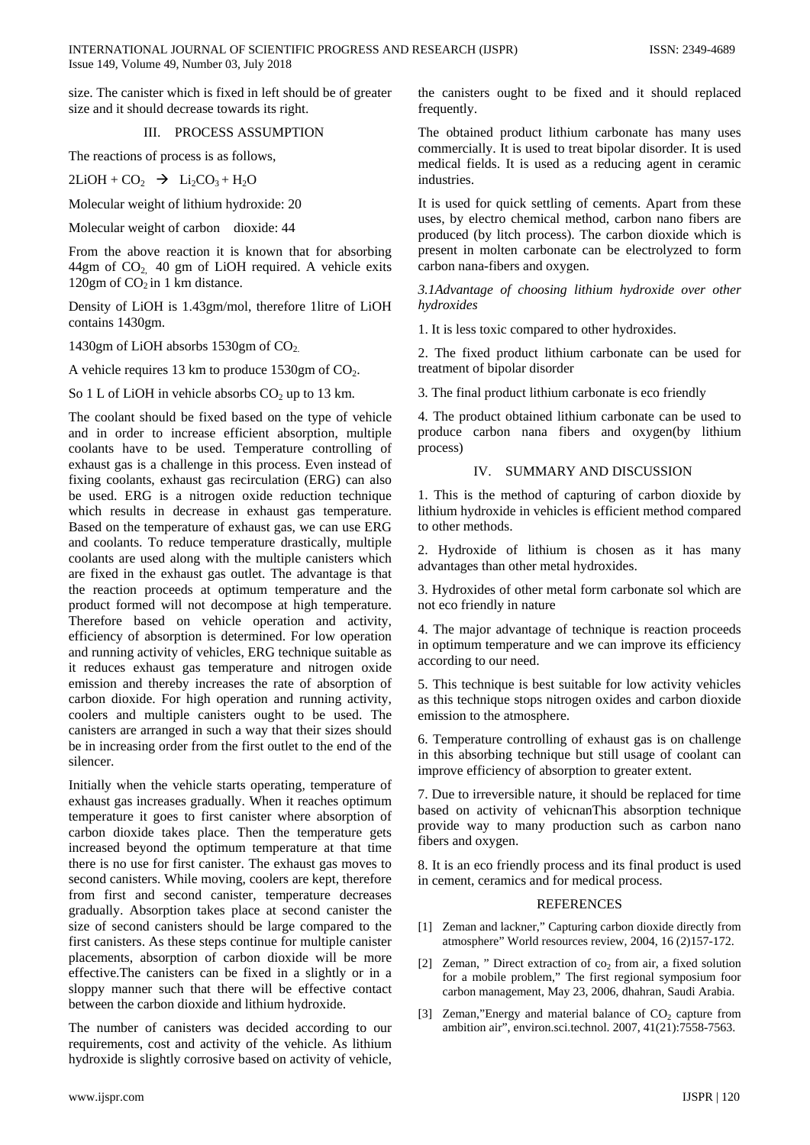size. The canister which is fixed in left should be of greater size and it should decrease towards its right.

#### III. PROCESS ASSUMPTION

The reactions of process is as follows,

 $2LiOH + CO<sub>2</sub>$   $\rightarrow$   $Li<sub>2</sub>CO<sub>3</sub> + H<sub>2</sub>O$ 

Molecular weight of lithium hydroxide: 20

Molecular weight of carbon dioxide: 44

From the above reaction it is known that for absorbing  $44gm$  of  $CO<sub>2</sub>$  40 gm of LiOH required. A vehicle exits 120gm of  $CO<sub>2</sub>$  in 1 km distance.

Density of LiOH is 1.43gm/mol, therefore 1litre of LiOH contains 1430gm.

1430gm of LiOH absorbs 1530gm of CO<sub>2.</sub>

A vehicle requires 13 km to produce  $1530gm$  of  $CO<sub>2</sub>$ .

So 1 L of LiOH in vehicle absorbs  $CO<sub>2</sub>$  up to 13 km.

The coolant should be fixed based on the type of vehicle and in order to increase efficient absorption, multiple coolants have to be used. Temperature controlling of exhaust gas is a challenge in this process. Even instead of fixing coolants, exhaust gas recirculation (ERG) can also be used. ERG is a nitrogen oxide reduction technique which results in decrease in exhaust gas temperature. Based on the temperature of exhaust gas, we can use ERG and coolants. To reduce temperature drastically, multiple coolants are used along with the multiple canisters which are fixed in the exhaust gas outlet. The advantage is that the reaction proceeds at optimum temperature and the product formed will not decompose at high temperature. Therefore based on vehicle operation and activity, efficiency of absorption is determined. For low operation and running activity of vehicles, ERG technique suitable as it reduces exhaust gas temperature and nitrogen oxide emission and thereby increases the rate of absorption of carbon dioxide. For high operation and running activity, coolers and multiple canisters ought to be used. The canisters are arranged in such a way that their sizes should be in increasing order from the first outlet to the end of the silencer.

Initially when the vehicle starts operating, temperature of exhaust gas increases gradually. When it reaches optimum temperature it goes to first canister where absorption of carbon dioxide takes place. Then the temperature gets increased beyond the optimum temperature at that time there is no use for first canister. The exhaust gas moves to second canisters. While moving, coolers are kept, therefore from first and second canister, temperature decreases gradually. Absorption takes place at second canister the size of second canisters should be large compared to the first canisters. As these steps continue for multiple canister placements, absorption of carbon dioxide will be more effective.The canisters can be fixed in a slightly or in a sloppy manner such that there will be effective contact between the carbon dioxide and lithium hydroxide.

The number of canisters was decided according to our requirements, cost and activity of the vehicle. As lithium hydroxide is slightly corrosive based on activity of vehicle,

the canisters ought to be fixed and it should replaced frequently.

The obtained product lithium carbonate has many uses commercially. It is used to treat bipolar disorder. It is used medical fields. It is used as a reducing agent in ceramic industries.

It is used for quick settling of cements. Apart from these uses, by electro chemical method, carbon nano fibers are produced (by litch process). The carbon dioxide which is present in molten carbonate can be electrolyzed to form carbon nana-fibers and oxygen.

*3.1Advantage of choosing lithium hydroxide over other hydroxides* 

1. It is less toxic compared to other hydroxides.

2. The fixed product lithium carbonate can be used for treatment of bipolar disorder

3. The final product lithium carbonate is eco friendly

4. The product obtained lithium carbonate can be used to produce carbon nana fibers and oxygen(by lithium process)

#### IV. SUMMARY AND DISCUSSION

1. This is the method of capturing of carbon dioxide by lithium hydroxide in vehicles is efficient method compared to other methods.

2. Hydroxide of lithium is chosen as it has many advantages than other metal hydroxides.

3. Hydroxides of other metal form carbonate sol which are not eco friendly in nature

4. The major advantage of technique is reaction proceeds in optimum temperature and we can improve its efficiency according to our need.

5. This technique is best suitable for low activity vehicles as this technique stops nitrogen oxides and carbon dioxide emission to the atmosphere.

6. Temperature controlling of exhaust gas is on challenge in this absorbing technique but still usage of coolant can improve efficiency of absorption to greater extent.

7. Due to irreversible nature, it should be replaced for time based on activity of vehicnanThis absorption technique provide way to many production such as carbon nano fibers and oxygen.

8. It is an eco friendly process and its final product is used in cement, ceramics and for medical process.

#### REFERENCES

- [1] Zeman and lackner," Capturing carbon dioxide directly from atmosphere" World resources review, 2004, 16 (2)157-172.
- [2] Zeman, " Direct extraction of  $co<sub>2</sub>$  from air, a fixed solution for a mobile problem," The first regional symposium foor carbon management, May 23, 2006, dhahran, Saudi Arabia.
- [3] Zeman,"Energy and material balance of  $CO<sub>2</sub>$  capture from ambition air", environ.sci.technol. 2007, 41(21):7558-7563.